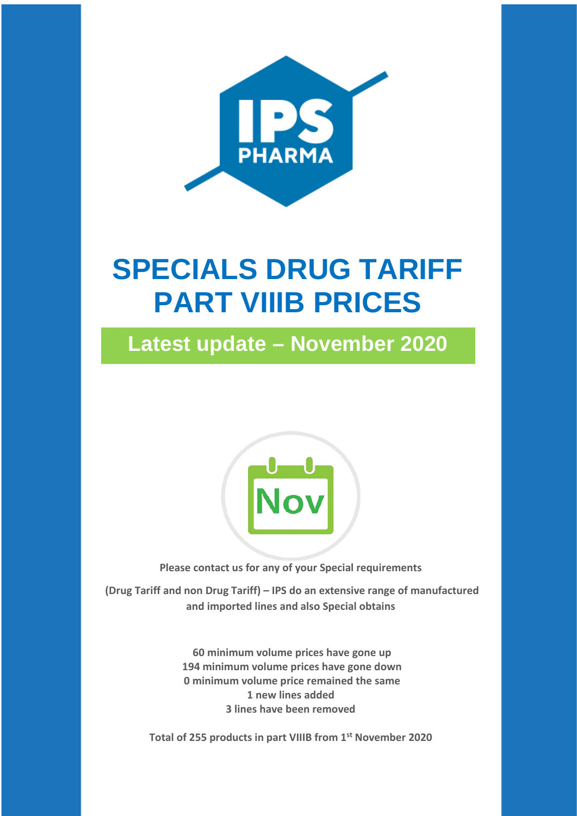

# **SPECIALS DRUG TARIFF PART VIIIB PRICES**

**Latest update – November 2020**



**Please contact us for any of your Special requirements**

**(Drug Tariff and non Drug Tariff) – IPS do an extensive range of manufactured and imported lines and also Special obtains**

> **60 minimum volume prices have gone up 194 minimum volume prices have gone down 0 minimum volume price remained the same 1 new lines added 3 lines have been removed**

**Total of 255 products in part VIIIB from 1st November 2020**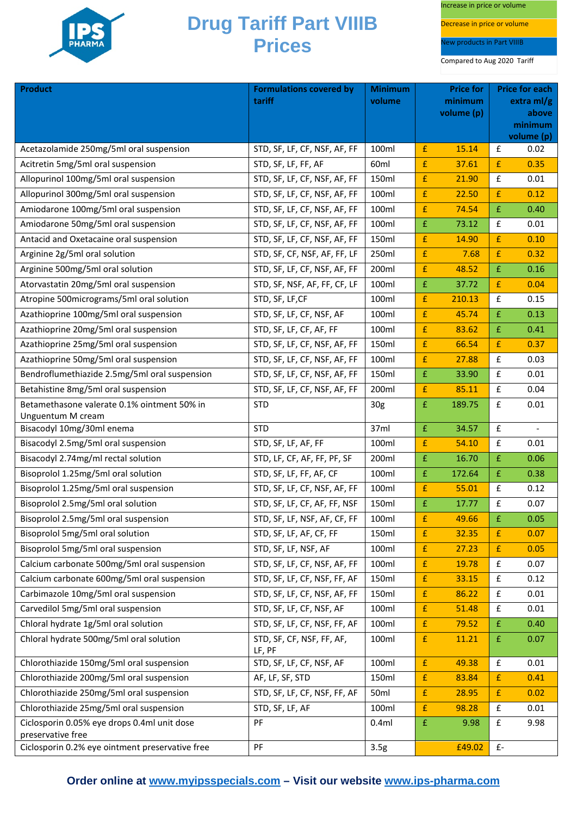

Increase in price or volume

Decrease in price or volume

New products in Part VIIIB

| <b>Product</b>                                  | <b>Formulations covered by</b>      | <b>Minimum</b>  | <b>Price for</b><br><b>Price for each</b> |        |                       |            |
|-------------------------------------------------|-------------------------------------|-----------------|-------------------------------------------|--------|-----------------------|------------|
|                                                 | tariff                              | volume          | minimum<br>volume (p)                     |        | $extra$ ml/g<br>above |            |
|                                                 |                                     |                 |                                           |        | minimum               |            |
|                                                 |                                     |                 |                                           |        |                       | volume (p) |
| Acetazolamide 250mg/5ml oral suspension         | STD, SF, LF, CF, NSF, AF, FF        | 100ml           | £                                         | 15.14  | £                     | 0.02       |
| Acitretin 5mg/5ml oral suspension               | STD, SF, LF, FF, AF                 | 60ml            | $\pmb{\mathsf{f}}$                        | 37.61  | £                     | 0.35       |
| Allopurinol 100mg/5ml oral suspension           | STD, SF, LF, CF, NSF, AF, FF        | 150ml           | $\pmb{\mathsf{f}}$                        | 21.90  | $\pmb{\mathsf{f}}$    | 0.01       |
| Allopurinol 300mg/5ml oral suspension           | STD, SF, LF, CF, NSF, AF, FF        | 100ml           | £                                         | 22.50  | £                     | 0.12       |
| Amiodarone 100mg/5ml oral suspension            | STD, SF, LF, CF, NSF, AF, FF        | 100ml           | £                                         | 74.54  | £                     | 0.40       |
| Amiodarone 50mg/5ml oral suspension             | STD, SF, LF, CF, NSF, AF, FF        | 100ml           | $\pmb{\mathsf{f}}$                        | 73.12  | £                     | 0.01       |
| Antacid and Oxetacaine oral suspension          | STD, SF, LF, CF, NSF, AF, FF        | 150ml           | $\pmb{\mathsf{f}}$                        | 14.90  | £                     | 0.10       |
| Arginine 2g/5ml oral solution                   | STD, SF, CF, NSF, AF, FF, LF        | 250ml           | $\pmb{\mathsf{f}}$                        | 7.68   | £                     | 0.32       |
| Arginine 500mg/5ml oral solution                | STD, SF, LF, CF, NSF, AF, FF        | 200ml           | $\pmb{\mathsf{f}}$                        | 48.52  | £                     | 0.16       |
| Atorvastatin 20mg/5ml oral suspension           | STD, SF, NSF, AF, FF, CF, LF        | 100ml           | £                                         | 37.72  | £                     | 0.04       |
| Atropine 500micrograms/5ml oral solution        | STD, SF, LF, CF                     | 100ml           | $\pmb{\mathsf{f}}$                        | 210.13 | £                     | 0.15       |
| Azathioprine 100mg/5ml oral suspension          | STD, SF, LF, CF, NSF, AF            | 100ml           | £                                         | 45.74  | $\pmb{\mathsf{f}}$    | 0.13       |
| Azathioprine 20mg/5ml oral suspension           | STD, SF, LF, CF, AF, FF             | 100ml           | $\pmb{\mathsf{f}}$                        | 83.62  | £                     | 0.41       |
| Azathioprine 25mg/5ml oral suspension           | STD, SF, LF, CF, NSF, AF, FF        | 150ml           | $\pmb{\mathrm{f}}$                        | 66.54  | £                     | 0.37       |
| Azathioprine 50mg/5ml oral suspension           | STD, SF, LF, CF, NSF, AF, FF        | 100ml           | £                                         | 27.88  | £                     | 0.03       |
| Bendroflumethiazide 2.5mg/5ml oral suspension   | STD, SF, LF, CF, NSF, AF, FF        | 150ml           | £                                         | 33.90  | £                     | 0.01       |
| Betahistine 8mg/5ml oral suspension             | STD, SF, LF, CF, NSF, AF, FF        | 200ml           | £                                         | 85.11  | $\pmb{\mathsf{f}}$    | 0.04       |
| Betamethasone valerate 0.1% ointment 50% in     | <b>STD</b>                          | 30 <sub>g</sub> | £                                         | 189.75 | £                     | 0.01       |
| Unguentum M cream                               |                                     |                 |                                           |        |                       |            |
| Bisacodyl 10mg/30ml enema                       | <b>STD</b>                          | 37ml            | $\pmb{\mathsf{f}}$                        | 34.57  | $\pmb{\mathsf{f}}$    |            |
| Bisacodyl 2.5mg/5ml oral suspension             | STD, SF, LF, AF, FF                 | 100ml           | $\pmb{\mathsf{f}}$                        | 54.10  | $\pmb{\mathsf{f}}$    | 0.01       |
| Bisacodyl 2.74mg/ml rectal solution             | STD, LF, CF, AF, FF, PF, SF         | 200ml           | £                                         | 16.70  | £                     | 0.06       |
| Bisoprolol 1.25mg/5ml oral solution             | STD, SF, LF, FF, AF, CF             | 100ml           | $\pmb{\mathsf{f}}$                        | 172.64 | £                     | 0.38       |
| Bisoprolol 1.25mg/5ml oral suspension           | STD, SF, LF, CF, NSF, AF, FF        | 100ml           | £                                         | 55.01  | £                     | 0.12       |
| Bisoprolol 2.5mg/5ml oral solution              | STD, SF, LF, CF, AF, FF, NSF        | 150ml           | £                                         | 17.77  | $\pmb{\mathsf{f}}$    | 0.07       |
| Bisoprolol 2.5mg/5ml oral suspension            | STD, SF, LF, NSF, AF, CF, FF        | 100ml           | $\pmb{\mathsf{f}}$                        | 49.66  | $\,$ f                | 0.05       |
| Bisoprolol 5mg/5ml oral solution                | STD, SF, LF, AF, CF, FF             | 150ml           | $\mathbf f$                               | 32.35  | £                     | 0.07       |
| Bisoprolol 5mg/5ml oral suspension              | STD, SF, LF, NSF, AF                | 100ml           | $\pmb{\mathsf{f}}$                        | 27.23  | £                     | 0.05       |
| Calcium carbonate 500mg/5ml oral suspension     | STD, SF, LF, CF, NSF, AF, FF        | 100ml           | £                                         | 19.78  | £                     | 0.07       |
| Calcium carbonate 600mg/5ml oral suspension     | STD, SF, LF, CF, NSF, FF, AF        | 150ml           | £                                         | 33.15  | £                     | 0.12       |
| Carbimazole 10mg/5ml oral suspension            | STD, SF, LF, CF, NSF, AF, FF        | 150ml           | $\pmb{\mathsf{f}}$                        | 86.22  | $\pmb{\mathsf{f}}$    | 0.01       |
| Carvedilol 5mg/5ml oral suspension              | STD, SF, LF, CF, NSF, AF            | 100ml           | $\pmb{\mathsf{f}}$                        | 51.48  | £                     | 0.01       |
| Chloral hydrate 1g/5ml oral solution            | STD, SF, LF, CF, NSF, FF, AF        | 100ml           | $\pmb{\mathsf{f}}$                        | 79.52  | £                     | 0.40       |
| Chloral hydrate 500mg/5ml oral solution         | STD, SF, CF, NSF, FF, AF,<br>LF, PF | 100ml           | £                                         | 11.21  | $\pmb{\mathrm{f}}$    | 0.07       |
| Chlorothiazide 150mg/5ml oral suspension        | STD, SF, LF, CF, NSF, AF            | 100ml           | $\pmb{\mathsf{f}}$                        | 49.38  | $\mathbf f$           | 0.01       |
| Chlorothiazide 200mg/5ml oral suspension        | AF, LF, SF, STD                     | 150ml           | £                                         | 83.84  | £                     | 0.41       |
| Chlorothiazide 250mg/5ml oral suspension        | STD, SF, LF, CF, NSF, FF, AF        | 50ml            | $\pmb{\mathsf{f}}$                        | 28.95  | £                     | 0.02       |
| Chlorothiazide 25mg/5ml oral suspension         | STD, SF, LF, AF                     | 100ml           | £                                         | 98.28  | £                     | 0.01       |
| Ciclosporin 0.05% eye drops 0.4ml unit dose     | PF                                  | 0.4ml           | £                                         | 9.98   | £                     | 9.98       |
| preservative free                               |                                     |                 |                                           |        |                       |            |
| Ciclosporin 0.2% eye ointment preservative free | PF                                  | 3.5g            |                                           | £49.02 | $f -$                 |            |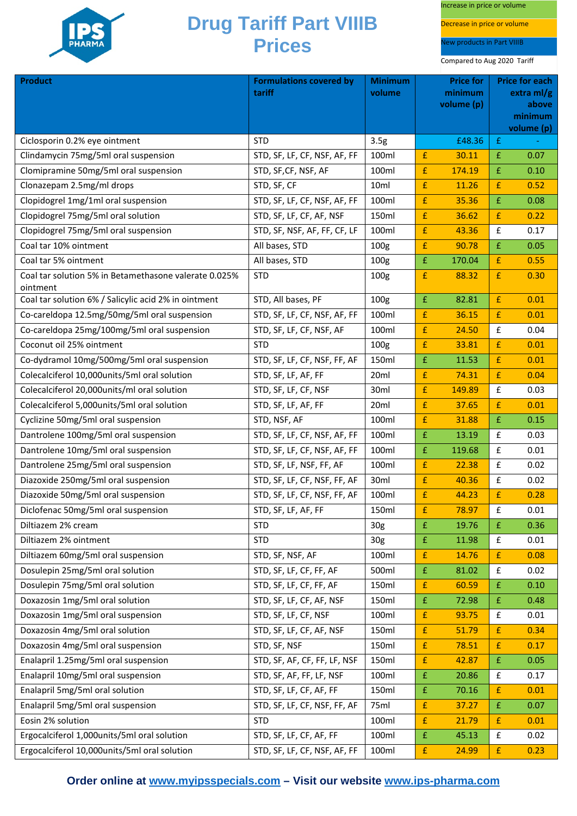

Increase in price or volume

Decrease in price or volume

New products in Part VIIIB

Compared to Aug 2020 Tariff

| <b>Product</b>                                                    | <b>Formulations covered by</b><br>tariff | <b>Minimum</b><br>volume |                    | <b>Price for</b><br>minimum |                    | <b>Price for each</b><br>extra m $\frac{1}{g}$ |
|-------------------------------------------------------------------|------------------------------------------|--------------------------|--------------------|-----------------------------|--------------------|------------------------------------------------|
|                                                                   |                                          |                          |                    | volume (p)                  |                    | above                                          |
|                                                                   |                                          |                          |                    |                             |                    | minimum<br>volume (p)                          |
| Ciclosporin 0.2% eye ointment                                     | <b>STD</b>                               | 3.5 <sub>g</sub>         |                    | £48.36                      | £                  |                                                |
| Clindamycin 75mg/5ml oral suspension                              | STD, SF, LF, CF, NSF, AF, FF             | 100ml                    | £                  | 30.11                       | £                  | 0.07                                           |
| Clomipramine 50mg/5ml oral suspension                             | STD, SF, CF, NSF, AF                     | 100ml                    | £                  | 174.19                      | £                  | 0.10                                           |
| Clonazepam 2.5mg/ml drops                                         | STD, SF, CF                              | 10ml                     | $\pmb{\mathsf{f}}$ | 11.26                       | £                  | 0.52                                           |
| Clopidogrel 1mg/1ml oral suspension                               | STD, SF, LF, CF, NSF, AF, FF             | 100ml                    | £                  | 35.36                       | £                  | 0.08                                           |
| Clopidogrel 75mg/5ml oral solution                                | STD, SF, LF, CF, AF, NSF                 | 150ml                    | £                  | 36.62                       | £                  | 0.22                                           |
| Clopidogrel 75mg/5ml oral suspension                              | STD, SF, NSF, AF, FF, CF, LF             | 100ml                    | £                  | 43.36                       | £                  | 0.17                                           |
| Coal tar 10% ointment                                             | All bases, STD                           | 100 <sub>g</sub>         | $\pmb{\mathsf{f}}$ | 90.78                       | £                  | 0.05                                           |
| Coal tar 5% ointment                                              | All bases, STD                           | 100 <sub>g</sub>         | $\pmb{\mathsf{f}}$ | 170.04                      | £                  | 0.55                                           |
| Coal tar solution 5% in Betamethasone valerate 0.025%<br>ointment | <b>STD</b>                               | 100 <sub>g</sub>         | £                  | 88.32                       | £                  | 0.30                                           |
| Coal tar solution 6% / Salicylic acid 2% in ointment              | STD, All bases, PF                       | 100 <sub>g</sub>         | $\pmb{\mathsf{f}}$ | 82.81                       | £                  | 0.01                                           |
| Co-careldopa 12.5mg/50mg/5ml oral suspension                      | STD, SF, LF, CF, NSF, AF, FF             | 100ml                    | £                  | 36.15                       | £                  | 0.01                                           |
| Co-careldopa 25mg/100mg/5ml oral suspension                       | STD, SF, LF, CF, NSF, AF                 | 100ml                    | £                  | 24.50                       | £                  | 0.04                                           |
| Coconut oil 25% ointment                                          | <b>STD</b>                               | 100 <sub>g</sub>         | $\pmb{\mathsf{f}}$ | 33.81                       | £                  | 0.01                                           |
| Co-dydramol 10mg/500mg/5ml oral suspension                        | STD, SF, LF, CF, NSF, FF, AF             | 150ml                    | $\pmb{\mathrm{f}}$ | 11.53                       | £                  | 0.01                                           |
| Colecalciferol 10,000units/5ml oral solution                      | STD, SF, LF, AF, FF                      | 20 <sub>ml</sub>         | £                  | 74.31                       | £                  | 0.04                                           |
| Colecalciferol 20,000units/ml oral solution                       | STD, SF, LF, CF, NSF                     | 30ml                     | £                  | 149.89                      | £                  | 0.03                                           |
| Colecalciferol 5,000units/5ml oral solution                       | STD, SF, LF, AF, FF                      | 20ml                     | £                  | 37.65                       | £                  | 0.01                                           |
| Cyclizine 50mg/5ml oral suspension                                | STD, NSF, AF                             | 100ml                    | £                  | 31.88                       | £                  | 0.15                                           |
| Dantrolene 100mg/5ml oral suspension                              | STD, SF, LF, CF, NSF, AF, FF             | 100ml                    | $\pmb{\mathsf{f}}$ | 13.19                       | £                  | 0.03                                           |
| Dantrolene 10mg/5ml oral suspension                               | STD, SF, LF, CF, NSF, AF, FF             | 100ml                    | $\pmb{\mathrm{f}}$ | 119.68                      | £                  | 0.01                                           |
| Dantrolene 25mg/5ml oral suspension                               | STD, SF, LF, NSF, FF, AF                 | 100ml                    | £                  | 22.38                       | £                  | 0.02                                           |
| Diazoxide 250mg/5ml oral suspension                               | STD, SF, LF, CF, NSF, FF, AF             | 30ml                     | £                  | 40.36                       | £                  | 0.02                                           |
| Diazoxide 50mg/5ml oral suspension                                | STD, SF, LF, CF, NSF, FF, AF             | 100ml                    | $\pmb{\mathsf{f}}$ | 44.23                       | £                  | 0.28                                           |
| Diclofenac 50mg/5ml oral suspension                               | STD, SF, LF, AF, FF                      | 150ml                    | $\pmb{\mathsf{f}}$ | 78.97                       | £                  | 0.01                                           |
| Diltiazem 2% cream                                                | <b>STD</b>                               | 30 <sub>g</sub>          | £                  | 19.76                       | £                  | 0.36                                           |
| Diltiazem 2% ointment                                             | <b>STD</b>                               | 30 <sub>g</sub>          | $\pmb{\mathsf{f}}$ | 11.98                       | £                  | 0.01                                           |
| Diltiazem 60mg/5ml oral suspension                                | STD, SF, NSF, AF                         | 100ml                    | £                  | 14.76                       | £                  | 0.08                                           |
| Dosulepin 25mg/5ml oral solution                                  | STD, SF, LF, CF, FF, AF                  | 500ml                    | $\pmb{\mathrm{f}}$ | 81.02                       | $\mathbf f$        | 0.02                                           |
| Dosulepin 75mg/5ml oral solution                                  | STD, SF, LF, CF, FF, AF                  | 150ml                    | £                  | 60.59                       | £                  | 0.10                                           |
| Doxazosin 1mg/5ml oral solution                                   | STD, SF, LF, CF, AF, NSF                 | 150ml                    | $\pmb{\mathsf{f}}$ | 72.98                       | $\pmb{\mathsf{f}}$ | 0.48                                           |
| Doxazosin 1mg/5ml oral suspension                                 | STD, SF, LF, CF, NSF                     | 100ml                    | $\pmb{\mathsf{f}}$ | 93.75                       | £                  | 0.01                                           |
| Doxazosin 4mg/5ml oral solution                                   | STD, SF, LF, CF, AF, NSF                 | 150ml                    | $\pmb{\mathsf{f}}$ | 51.79                       | £                  | 0.34                                           |
| Doxazosin 4mg/5ml oral suspension                                 | STD, SF, NSF                             | 150ml                    | £                  | 78.51                       | £                  | 0.17                                           |
| Enalapril 1.25mg/5ml oral suspension                              | STD, SF, AF, CF, FF, LF, NSF             | 150ml                    | £                  | 42.87                       | £                  | 0.05                                           |
| Enalapril 10mg/5ml oral suspension                                | STD, SF, AF, FF, LF, NSF                 | 100ml                    | $\pmb{\mathrm{f}}$ | 20.86                       | £                  | 0.17                                           |
| Enalapril 5mg/5ml oral solution                                   | STD, SF, LF, CF, AF, FF                  | 150ml                    | $\pmb{\mathsf{f}}$ | 70.16                       | £                  | 0.01                                           |
| Enalapril 5mg/5ml oral suspension                                 | STD, SF, LF, CF, NSF, FF, AF             | 75ml                     | $\pmb{\mathrm{f}}$ | 37.27                       | $\pmb{\mathsf{f}}$ | 0.07                                           |
| Eosin 2% solution                                                 | <b>STD</b>                               | 100ml                    | £                  | 21.79                       | £                  | 0.01                                           |
| Ergocalciferol 1,000units/5ml oral solution                       | STD, SF, LF, CF, AF, FF                  | 100ml                    | $\pmb{\mathsf{f}}$ | 45.13                       | £                  | 0.02                                           |
| Ergocalciferol 10,000units/5ml oral solution                      | STD, SF, LF, CF, NSF, AF, FF             | 100ml                    | $\pmb{\mathsf{f}}$ | 24.99                       | £                  | 0.23                                           |

**Order online at [www.myipsspecials.com](http://www.myipsspecials.com/) – Visit our website [www.ips-pharma.com](http://www.ips-pharma.com/)**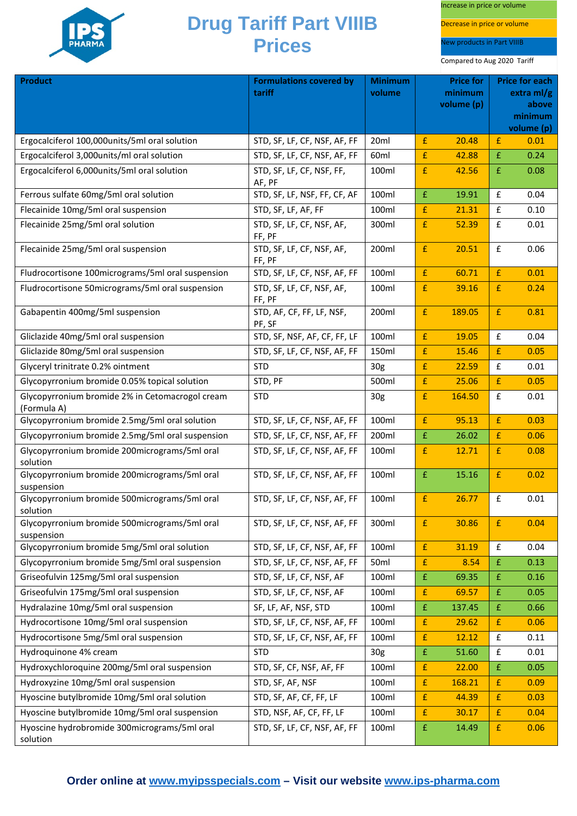

Increase in price or volume

Decrease in price or volume

New products in Part VIIIB

| Product                                                        | <b>Formulations covered by</b>      | <b>Minimum</b>   |                    | <b>Price for</b>      |                    | <b>Price for each</b> |
|----------------------------------------------------------------|-------------------------------------|------------------|--------------------|-----------------------|--------------------|-----------------------|
|                                                                | tariff                              | volume           |                    | minimum<br>volume (p) |                    | extra $ml/g$<br>above |
|                                                                |                                     |                  |                    |                       |                    | minimum               |
| Ergocalciferol 100,000units/5ml oral solution                  | STD, SF, LF, CF, NSF, AF, FF        | 20ml             | £                  | 20.48                 | £                  | volume (p)<br>0.01    |
| Ergocalciferol 3,000units/ml oral solution                     | STD, SF, LF, CF, NSF, AF, FF        | 60 <sub>ml</sub> | £                  | 42.88                 | £                  | 0.24                  |
| Ergocalciferol 6,000units/5ml oral solution                    | STD, SF, LF, CF, NSF, FF,           | 100ml            | $\pmb{\mathsf{f}}$ | 42.56                 | £                  | 0.08                  |
|                                                                | AF, PF                              |                  |                    |                       |                    |                       |
| Ferrous sulfate 60mg/5ml oral solution                         | STD, SF, LF, NSF, FF, CF, AF        | 100ml            | £                  | 19.91                 | £                  | 0.04                  |
| Flecainide 10mg/5ml oral suspension                            | STD, SF, LF, AF, FF                 | 100ml            | £                  | 21.31                 | £                  | 0.10                  |
| Flecainide 25mg/5ml oral solution                              | STD, SF, LF, CF, NSF, AF,<br>FF, PF | 300ml            | $\pmb{\mathsf{f}}$ | 52.39                 | £                  | 0.01                  |
| Flecainide 25mg/5ml oral suspension                            | STD, SF, LF, CF, NSF, AF,<br>FF, PF | 200ml            | £                  | 20.51                 | £                  | 0.06                  |
| Fludrocortisone 100micrograms/5ml oral suspension              | STD, SF, LF, CF, NSF, AF, FF        | 100ml            | £                  | 60.71                 | £                  | 0.01                  |
| Fludrocortisone 50micrograms/5ml oral suspension               | STD, SF, LF, CF, NSF, AF,<br>FF, PF | 100ml            | $\pmb{\mathsf{f}}$ | 39.16                 | £                  | 0.24                  |
| Gabapentin 400mg/5ml suspension                                | STD, AF, CF, FF, LF, NSF,<br>PF, SF | 200ml            | $\pmb{\mathsf{f}}$ | 189.05                | £                  | 0.81                  |
| Gliclazide 40mg/5ml oral suspension                            | STD, SF, NSF, AF, CF, FF, LF        | 100ml            | $\pmb{\mathsf{f}}$ | 19.05                 | £                  | 0.04                  |
| Gliclazide 80mg/5ml oral suspension                            | STD, SF, LF, CF, NSF, AF, FF        | 150ml            | £                  | 15.46                 | £                  | 0.05                  |
| Glyceryl trinitrate 0.2% ointment                              | <b>STD</b>                          | 30 <sub>g</sub>  | £                  | 22.59                 | £                  | 0.01                  |
| Glycopyrronium bromide 0.05% topical solution                  | STD, PF                             | 500ml            | £                  | 25.06                 | £                  | 0.05                  |
| Glycopyrronium bromide 2% in Cetomacrogol cream<br>(Formula A) | <b>STD</b>                          | 30 <sub>g</sub>  | £                  | 164.50                | £                  | 0.01                  |
| Glycopyrronium bromide 2.5mg/5ml oral solution                 | STD, SF, LF, CF, NSF, AF, FF        | 100ml            | £                  | 95.13                 | £                  | 0.03                  |
| Glycopyrronium bromide 2.5mg/5ml oral suspension               | STD, SF, LF, CF, NSF, AF, FF        | 200ml            | £                  | 26.02                 | £                  | 0.06                  |
| Glycopyrronium bromide 200micrograms/5ml oral<br>solution      | STD, SF, LF, CF, NSF, AF, FF        | 100ml            | £                  | 12.71                 | £                  | 0.08                  |
| Glycopyrronium bromide 200micrograms/5ml oral<br>suspension    | STD, SF, LF, CF, NSF, AF, FF        | 100ml            | £                  | 15.16                 | £                  | 0.02                  |
| Glycopyrronium bromide 500micrograms/5ml oral<br>solution      | STD, SF, LF, CF, NSF, AF, FF        | 100ml            | £                  | 26.77                 | $\pmb{\mathsf{f}}$ | 0.01                  |
| Glycopyrronium bromide 500micrograms/5ml oral<br>suspension    | STD, SF, LF, CF, NSF, AF, FF        | 300ml            | £                  | 30.86                 | £                  | 0.04                  |
| Glycopyrronium bromide 5mg/5ml oral solution                   | STD, SF, LF, CF, NSF, AF, FF        | 100ml            | £                  | 31.19                 | £                  | 0.04                  |
| Glycopyrronium bromide 5mg/5ml oral suspension                 | STD, SF, LF, CF, NSF, AF, FF        | 50 <sub>ml</sub> | £                  | 8.54                  | £                  | 0.13                  |
| Griseofulvin 125mg/5ml oral suspension                         | STD, SF, LF, CF, NSF, AF            | 100ml            | $\pmb{\mathrm{f}}$ | 69.35                 | £                  | 0.16                  |
| Griseofulvin 175mg/5ml oral suspension                         | STD, SF, LF, CF, NSF, AF            | 100ml            | £                  | 69.57                 | £                  | 0.05                  |
| Hydralazine 10mg/5ml oral suspension                           | SF, LF, AF, NSF, STD                | 100ml            | $\pmb{\mathsf{f}}$ | 137.45                | £                  | 0.66                  |
| Hydrocortisone 10mg/5ml oral suspension                        | STD, SF, LF, CF, NSF, AF, FF        | 100ml            | £                  | 29.62                 | £                  | 0.06                  |
| Hydrocortisone 5mg/5ml oral suspension                         | STD, SF, LF, CF, NSF, AF, FF        | 100ml            | $\pmb{\mathsf{f}}$ | 12.12                 | £                  | 0.11                  |
| Hydroquinone 4% cream                                          | <b>STD</b>                          | 30g              | $\pmb{\mathrm{f}}$ | 51.60                 | £                  | 0.01                  |
| Hydroxychloroquine 200mg/5ml oral suspension                   | STD, SF, CF, NSF, AF, FF            | 100ml            | £                  | 22.00                 | £                  | 0.05                  |
| Hydroxyzine 10mg/5ml oral suspension                           | STD, SF, AF, NSF                    | 100ml            | $\pmb{\mathsf{f}}$ | 168.21                | £                  | 0.09                  |
| Hyoscine butylbromide 10mg/5ml oral solution                   | STD, SF, AF, CF, FF, LF             | 100ml            | £                  | 44.39                 | £                  | 0.03                  |
| Hyoscine butylbromide 10mg/5ml oral suspension                 | STD, NSF, AF, CF, FF, LF            | 100ml            | £                  | 30.17                 | £                  | 0.04                  |
| Hyoscine hydrobromide 300micrograms/5ml oral<br>solution       | STD, SF, LF, CF, NSF, AF, FF        | 100ml            | £                  | 14.49                 | £                  | 0.06                  |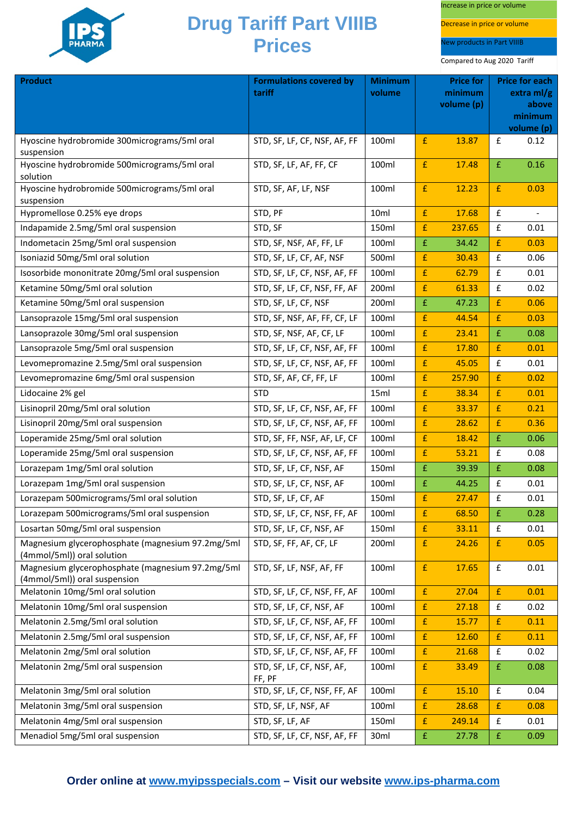

Increase in price or volume

Decrease in price or volume

New products in Part VIIIB

| <b>Product</b>                                                                   | <b>Formulations covered by</b><br>tariff | <b>Minimum</b><br>volume |                    | <b>Price for</b><br>minimum |                    | <b>Price for each</b><br>extra ml/g |
|----------------------------------------------------------------------------------|------------------------------------------|--------------------------|--------------------|-----------------------------|--------------------|-------------------------------------|
|                                                                                  |                                          |                          |                    | volume (p)                  |                    | above<br>minimum<br>volume (p)      |
| Hyoscine hydrobromide 300micrograms/5ml oral<br>suspension                       | STD, SF, LF, CF, NSF, AF, FF             | 100ml                    | £                  | 13.87                       | £                  | 0.12                                |
| Hyoscine hydrobromide 500micrograms/5ml oral<br>solution                         | STD, SF, LF, AF, FF, CF                  | 100ml                    | £                  | 17.48                       | £                  | 0.16                                |
| Hyoscine hydrobromide 500micrograms/5ml oral<br>suspension                       | STD, SF, AF, LF, NSF                     | 100ml                    | £                  | 12.23                       | £                  | 0.03                                |
| Hypromellose 0.25% eye drops                                                     | STD, PF                                  | 10ml                     | £                  | 17.68                       | £                  |                                     |
| Indapamide 2.5mg/5ml oral suspension                                             | STD, SF                                  | 150ml                    | £                  | 237.65                      | $\pmb{\mathsf{f}}$ | 0.01                                |
| Indometacin 25mg/5ml oral suspension                                             | STD, SF, NSF, AF, FF, LF                 | 100ml                    | $\pmb{\mathsf{f}}$ | 34.42                       | £                  | 0.03                                |
| Isoniazid 50mg/5ml oral solution                                                 | STD, SF, LF, CF, AF, NSF                 | 500ml                    | £                  | 30.43                       | $\pmb{\mathsf{f}}$ | 0.06                                |
| Isosorbide mononitrate 20mg/5ml oral suspension                                  | STD, SF, LF, CF, NSF, AF, FF             | 100ml                    | £                  | 62.79                       | £                  | 0.01                                |
| Ketamine 50mg/5ml oral solution                                                  | STD, SF, LF, CF, NSF, FF, AF             | 200ml                    | £                  | 61.33                       | £                  | 0.02                                |
| Ketamine 50mg/5ml oral suspension                                                | STD, SF, LF, CF, NSF                     | 200ml                    | £                  | 47.23                       | £                  | 0.06                                |
| Lansoprazole 15mg/5ml oral suspension                                            | STD, SF, NSF, AF, FF, CF, LF             | 100ml                    | £                  | 44.54                       | £                  | 0.03                                |
| Lansoprazole 30mg/5ml oral suspension                                            | STD, SF, NSF, AF, CF, LF                 | 100ml                    | £                  | 23.41                       | £                  | 0.08                                |
| Lansoprazole 5mg/5ml oral suspension                                             | STD, SF, LF, CF, NSF, AF, FF             | 100ml                    | £                  | 17.80                       | £                  | 0.01                                |
| Levomepromazine 2.5mg/5ml oral suspension                                        | STD, SF, LF, CF, NSF, AF, FF             | 100ml                    | $\pmb{\mathrm{f}}$ | 45.05                       | £                  | 0.01                                |
| Levomepromazine 6mg/5ml oral suspension                                          | STD, SF, AF, CF, FF, LF                  | 100ml                    | £                  | 257.90                      | £                  | 0.02                                |
| Lidocaine 2% gel                                                                 | <b>STD</b>                               | 15ml                     | £                  | 38.34                       | £                  | 0.01                                |
| Lisinopril 20mg/5ml oral solution                                                | STD, SF, LF, CF, NSF, AF, FF             | 100ml                    | £                  | 33.37                       | £                  | 0.21                                |
| Lisinopril 20mg/5ml oral suspension                                              | STD, SF, LF, CF, NSF, AF, FF             | 100ml                    | £                  | 28.62                       | £                  | 0.36                                |
| Loperamide 25mg/5ml oral solution                                                | STD, SF, FF, NSF, AF, LF, CF             | 100ml                    | $\pmb{\mathrm{f}}$ | 18.42                       | $\mathbf f$        | 0.06                                |
| Loperamide 25mg/5ml oral suspension                                              | STD, SF, LF, CF, NSF, AF, FF             | 100ml                    | £                  | 53.21                       | £                  | 0.08                                |
| Lorazepam 1mg/5ml oral solution                                                  | STD, SF, LF, CF, NSF, AF                 | 150ml                    | $\pmb{\mathsf{f}}$ | 39.39                       | £                  | 0.08                                |
| Lorazepam 1mg/5ml oral suspension                                                | STD, SF, LF, CF, NSF, AF                 | 100ml                    | £                  | 44.25                       | £                  | 0.01                                |
| Lorazepam 500micrograms/5ml oral solution                                        | STD, SF, LF, CF, AF                      | 150ml                    | £                  | 27.47                       | £                  | 0.01                                |
| Lorazepam 500micrograms/5ml oral suspension                                      | STD, SF, LF, CF, NSF, FF, AF             | 100ml                    | £                  | 68.50                       | $\mathbf f$        | 0.28                                |
| Losartan 50mg/5ml oral suspension                                                | STD, SF, LF, CF, NSF, AF                 | 150ml                    | £                  | 33.11                       | £                  | 0.01                                |
| Magnesium glycerophosphate (magnesium 97.2mg/5ml<br>(4mmol/5ml)) oral solution   | STD, SF, FF, AF, CF, LF                  | 200ml                    | $\pmb{\mathsf{f}}$ | 24.26                       | $\mathbf f$        | 0.05                                |
| Magnesium glycerophosphate (magnesium 97.2mg/5ml<br>(4mmol/5ml)) oral suspension | STD, SF, LF, NSF, AF, FF                 | 100ml                    | $\pmb{\mathsf{f}}$ | 17.65                       | $\pmb{\mathsf{f}}$ | 0.01                                |
| Melatonin 10mg/5ml oral solution                                                 | STD, SF, LF, CF, NSF, FF, AF             | 100ml                    | $\pmb{\mathsf{f}}$ | 27.04                       | £                  | 0.01                                |
| Melatonin 10mg/5ml oral suspension                                               | STD, SF, LF, CF, NSF, AF                 | 100ml                    | $\pmb{\mathsf{f}}$ | 27.18                       | $\pmb{\mathsf{f}}$ | 0.02                                |
| Melatonin 2.5mg/5ml oral solution                                                | STD, SF, LF, CF, NSF, AF, FF             | 100ml                    | $\pmb{\mathsf{f}}$ | 15.77                       | £                  | 0.11                                |
| Melatonin 2.5mg/5ml oral suspension                                              | STD, SF, LF, CF, NSF, AF, FF             | 100ml                    | £                  | 12.60                       | £                  | 0.11                                |
| Melatonin 2mg/5ml oral solution                                                  | STD, SF, LF, CF, NSF, AF, FF             | 100ml                    | $\pmb{\mathrm{f}}$ | 21.68                       | £                  | 0.02                                |
| Melatonin 2mg/5ml oral suspension                                                | STD, SF, LF, CF, NSF, AF,<br>FF, PF      | 100ml                    | $\pmb{\mathsf{f}}$ | 33.49                       | £                  | 0.08                                |
| Melatonin 3mg/5ml oral solution                                                  | STD, SF, LF, CF, NSF, FF, AF             | 100ml                    | $\pmb{\mathsf{f}}$ | 15.10                       | £                  | 0.04                                |
| Melatonin 3mg/5ml oral suspension                                                | STD, SF, LF, NSF, AF                     | 100ml                    | $\pmb{\mathsf{f}}$ | 28.68                       | £                  | 0.08                                |
| Melatonin 4mg/5ml oral suspension                                                | STD, SF, LF, AF                          | 150ml                    | $\pmb{\mathsf{f}}$ | 249.14                      | $\mathbf f$        | 0.01                                |
| Menadiol 5mg/5ml oral suspension                                                 | STD, SF, LF, CF, NSF, AF, FF             | 30 <sub>ml</sub>         | $\pmb{\mathsf{f}}$ | 27.78                       | £                  | 0.09                                |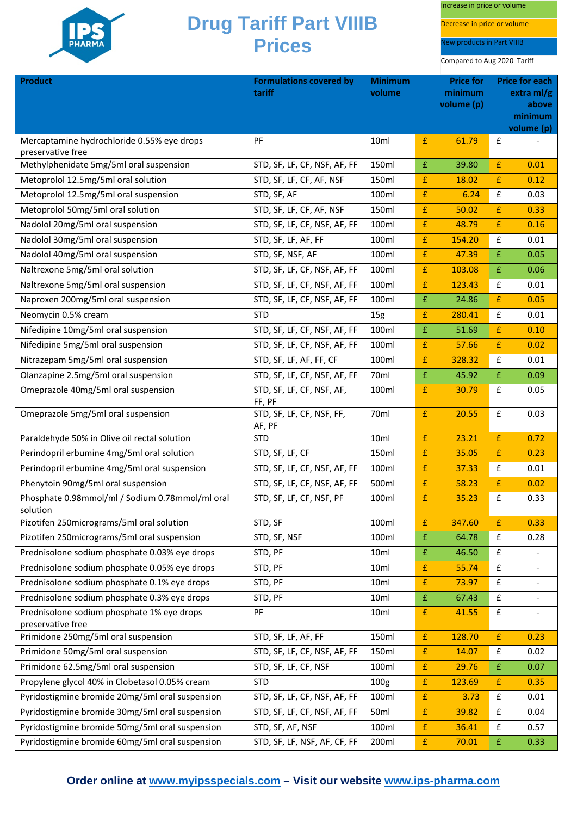

Increase in price or volume

Decrease in price or volume

New products in Part VIIIB

| <b>Product</b>                                                  | <b>Formulations covered by</b>      | <b>Minimum</b>   |                    | <b>Price for</b> |                    | <b>Price for each</b> |
|-----------------------------------------------------------------|-------------------------------------|------------------|--------------------|------------------|--------------------|-----------------------|
|                                                                 | tariff                              | volume           |                    | minimum          |                    | extra $ml/g$          |
|                                                                 |                                     |                  |                    | volume (p)       |                    | above<br>minimum      |
|                                                                 |                                     |                  |                    |                  |                    | volume (p)            |
| Mercaptamine hydrochloride 0.55% eye drops                      | PF                                  | 10ml             | £                  | 61.79            | $\mathbf f$        |                       |
| preservative free                                               |                                     |                  |                    |                  |                    |                       |
| Methylphenidate 5mg/5ml oral suspension                         | STD, SF, LF, CF, NSF, AF, FF        | 150ml            | £                  | 39.80            | £                  | 0.01                  |
| Metoprolol 12.5mg/5ml oral solution                             | STD, SF, LF, CF, AF, NSF            | 150ml            | £                  | 18.02            | £                  | 0.12                  |
| Metoprolol 12.5mg/5ml oral suspension                           | STD, SF, AF                         | 100ml            | $\pmb{\mathsf{f}}$ | 6.24             | $\pmb{\mathsf{f}}$ | 0.03                  |
| Metoprolol 50mg/5ml oral solution                               | STD, SF, LF, CF, AF, NSF            | 150ml            | £                  | 50.02            | £                  | 0.33                  |
| Nadolol 20mg/5ml oral suspension                                | STD, SF, LF, CF, NSF, AF, FF        | 100ml            | £                  | 48.79            | £                  | 0.16                  |
| Nadolol 30mg/5ml oral suspension                                | STD, SF, LF, AF, FF                 | 100ml            | £                  | 154.20           | £                  | 0.01                  |
| Nadolol 40mg/5ml oral suspension                                | STD, SF, NSF, AF                    | 100ml            | £                  | 47.39            | £                  | 0.05                  |
| Naltrexone 5mg/5ml oral solution                                | STD, SF, LF, CF, NSF, AF, FF        | 100ml            | $\pmb{\mathsf{f}}$ | 103.08           | $\pmb{\mathsf{f}}$ | 0.06                  |
| Naltrexone 5mg/5ml oral suspension                              | STD, SF, LF, CF, NSF, AF, FF        | 100ml            | £                  | 123.43           | £                  | 0.01                  |
| Naproxen 200mg/5ml oral suspension                              | STD, SF, LF, CF, NSF, AF, FF        | 100ml            | $\pmb{\mathsf{f}}$ | 24.86            | £                  | 0.05                  |
| Neomycin 0.5% cream                                             | <b>STD</b>                          | 15 <sub>g</sub>  | £                  | 280.41           | $\mathbf f$        | 0.01                  |
| Nifedipine 10mg/5ml oral suspension                             | STD, SF, LF, CF, NSF, AF, FF        | 100ml            | £                  | 51.69            | £                  | 0.10                  |
| Nifedipine 5mg/5ml oral suspension                              | STD, SF, LF, CF, NSF, AF, FF        | 100ml            | £                  | 57.66            | $\pmb{\mathsf{f}}$ | 0.02                  |
| Nitrazepam 5mg/5ml oral suspension                              | STD, SF, LF, AF, FF, CF             | 100ml            | $\pmb{\mathsf{f}}$ | 328.32           | £                  | 0.01                  |
| Olanzapine 2.5mg/5ml oral suspension                            | STD, SF, LF, CF, NSF, AF, FF        | 70ml             | $\pmb{\mathsf{f}}$ | 45.92            | £                  | 0.09                  |
| Omeprazole 40mg/5ml oral suspension                             | STD, SF, LF, CF, NSF, AF,<br>FF, PF | 100ml            | £                  | 30.79            | $\mathbf f$        | 0.05                  |
| Omeprazole 5mg/5ml oral suspension                              | STD, SF, LF, CF, NSF, FF,<br>AF, PF | 70ml             | £                  | 20.55            | $\mathbf f$        | 0.03                  |
| Paraldehyde 50% in Olive oil rectal solution                    | <b>STD</b>                          | 10ml             | $\pmb{\mathsf{f}}$ | 23.21            | $\pmb{\mathsf{f}}$ | 0.72                  |
| Perindopril erbumine 4mg/5ml oral solution                      | STD, SF, LF, CF                     | 150ml            | $\pmb{\mathsf{f}}$ | 35.05            | £                  | 0.23                  |
| Perindopril erbumine 4mg/5ml oral suspension                    | STD, SF, LF, CF, NSF, AF, FF        | 100ml            | $\pmb{\mathsf{f}}$ | 37.33            | $\pmb{\mathsf{f}}$ | 0.01                  |
| Phenytoin 90mg/5ml oral suspension                              | STD, SF, LF, CF, NSF, AF, FF        | 500ml            | £                  | 58.23            | £                  | 0.02                  |
| Phosphate 0.98mmol/ml / Sodium 0.78mmol/ml oral<br>solution     | STD, SF, LF, CF, NSF, PF            | 100ml            | £                  | 35.23            | $\mathbf f$        | 0.33                  |
| Pizotifen 250micrograms/5ml oral solution                       | STD, SF                             | 100ml            | $\pmb{\mathrm{f}}$ | 347.60           | £                  | 0.33                  |
| Pizotifen 250micrograms/5ml oral suspension                     | STD, SF, NSF                        | 100ml            | £                  | 64.78            | $\mathbf f$        | 0.28                  |
| Prednisolone sodium phosphate 0.03% eye drops                   | STD, PF                             | 10ml             | £                  | 46.50            | £                  |                       |
| Prednisolone sodium phosphate 0.05% eye drops                   | STD, PF                             | 10ml             | $\pmb{\mathrm{f}}$ | 55.74            | £                  |                       |
| Prednisolone sodium phosphate 0.1% eye drops                    | STD, PF                             | 10ml             | £                  | 73.97            | $\mathbf f$        |                       |
| Prednisolone sodium phosphate 0.3% eye drops                    | STD, PF                             | 10 <sub>ml</sub> | $\pmb{\mathsf{f}}$ | 67.43            | $\pmb{\mathsf{f}}$ |                       |
| Prednisolone sodium phosphate 1% eye drops<br>preservative free | PF                                  | 10ml             | $\pmb{\mathsf{f}}$ | 41.55            | $\mathbf f$        |                       |
| Primidone 250mg/5ml oral suspension                             | STD, SF, LF, AF, FF                 | 150ml            | $\pmb{\mathrm{f}}$ | 128.70           | £                  | 0.23                  |
| Primidone 50mg/5ml oral suspension                              | STD, SF, LF, CF, NSF, AF, FF        | 150ml            | £                  | 14.07            | $\mathbf f$        | 0.02                  |
| Primidone 62.5mg/5ml oral suspension                            | STD, SF, LF, CF, NSF                | 100ml            | $\pmb{\mathsf{f}}$ | 29.76            | £                  | 0.07                  |
| Propylene glycol 40% in Clobetasol 0.05% cream                  | <b>STD</b>                          | 100g             | £                  | 123.69           | £                  | 0.35                  |
| Pyridostigmine bromide 20mg/5ml oral suspension                 | STD, SF, LF, CF, NSF, AF, FF        | 100ml            | $\pmb{\mathsf{f}}$ | 3.73             | $\mathbf f$        | 0.01                  |
| Pyridostigmine bromide 30mg/5ml oral suspension                 | STD, SF, LF, CF, NSF, AF, FF        | 50ml             | £                  | 39.82            | $\mathbf f$        | 0.04                  |
| Pyridostigmine bromide 50mg/5ml oral suspension                 | STD, SF, AF, NSF                    | 100ml            | £                  | 36.41            | £                  | 0.57                  |
| Pyridostigmine bromide 60mg/5ml oral suspension                 | STD, SF, LF, NSF, AF, CF, FF        | 200ml            | $\pmb{\mathrm{f}}$ | 70.01            | $\mathbf{f}$       | 0.33                  |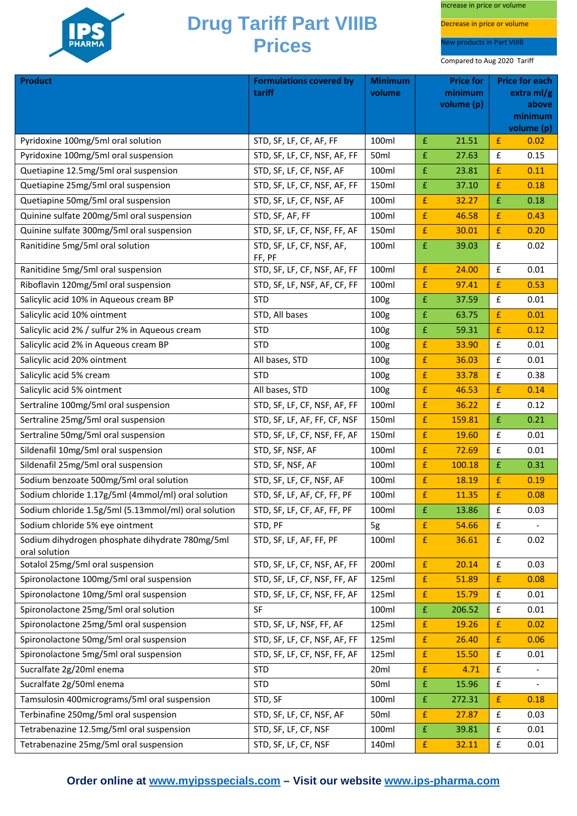

Increase in price or volume

Decrease in price or volume

New products in Part VIIIB

| <b>Product</b>                                                   | <b>Formulations covered by</b>      | <b>Minimum</b>   | <b>Price for</b><br><b>Price for each</b> |            | extra $ml/g$       |            |
|------------------------------------------------------------------|-------------------------------------|------------------|-------------------------------------------|------------|--------------------|------------|
|                                                                  | tariff                              | volume           |                                           | volume (p) | minimum<br>above   |            |
|                                                                  |                                     |                  |                                           |            |                    | minimum    |
|                                                                  |                                     |                  |                                           |            |                    | volume (p) |
| Pyridoxine 100mg/5ml oral solution                               | STD, SF, LF, CF, AF, FF             | 100ml            | £                                         | 21.51      | £                  | 0.02       |
| Pyridoxine 100mg/5ml oral suspension                             | STD, SF, LF, CF, NSF, AF, FF        | 50ml             | £                                         | 27.63      | $\pmb{\mathsf{f}}$ | 0.15       |
| Quetiapine 12.5mg/5ml oral suspension                            | STD, SF, LF, CF, NSF, AF            | 100ml            | £                                         | 23.81      | $\pmb{\mathsf{f}}$ | 0.11       |
| Quetiapine 25mg/5ml oral suspension                              | STD, SF, LF, CF, NSF, AF, FF        | 150ml            | £                                         | 37.10      | $\pmb{\mathsf{f}}$ | 0.18       |
| Quetiapine 50mg/5ml oral suspension                              | STD, SF, LF, CF, NSF, AF            | 100ml            | £                                         | 32.27      | £                  | 0.18       |
| Quinine sulfate 200mg/5ml oral suspension                        | STD, SF, AF, FF                     | 100ml            | £                                         | 46.58      | $\mathbf{f}$       | 0.43       |
| Quinine sulfate 300mg/5ml oral suspension                        | STD, SF, LF, CF, NSF, FF, AF        | 150ml            | $\pmb{\mathsf{f}}$                        | 30.01      | $\pmb{\mathsf{f}}$ | 0.20       |
| Ranitidine 5mg/5ml oral solution                                 | STD, SF, LF, CF, NSF, AF,<br>FF, PF | 100ml            | £                                         | 39.03      | $\pmb{\mathsf{f}}$ | 0.02       |
| Ranitidine 5mg/5ml oral suspension                               | STD, SF, LF, CF, NSF, AF, FF        | 100ml            | £                                         | 24.00      | $\pmb{\mathsf{f}}$ | 0.01       |
| Riboflavin 120mg/5ml oral suspension                             | STD, SF, LF, NSF, AF, CF, FF        | 100ml            | £                                         | 97.41      | $\mathbf{f}$       | 0.53       |
| Salicylic acid 10% in Aqueous cream BP                           | <b>STD</b>                          | 100g             | £                                         | 37.59      | $\pmb{\mathsf{f}}$ | 0.01       |
| Salicylic acid 10% ointment                                      | STD, All bases                      | 100 <sub>g</sub> | £                                         | 63.75      | $\mathbf{f}$       | 0.01       |
| Salicylic acid 2% / sulfur 2% in Aqueous cream                   | <b>STD</b>                          | 100 <sub>g</sub> | £                                         | 59.31      | $\pmb{\mathsf{f}}$ | 0.12       |
| Salicylic acid 2% in Aqueous cream BP                            | <b>STD</b>                          | 100 <sub>g</sub> | £                                         | 33.90      | $\pmb{\mathsf{f}}$ | 0.01       |
| Salicylic acid 20% ointment                                      | All bases, STD                      | 100 <sub>g</sub> | $\pmb{\mathsf{f}}$                        | 36.03      | $\pmb{\mathsf{f}}$ | 0.01       |
| Salicylic acid 5% cream                                          | <b>STD</b>                          | 100g             | £                                         | 33.78      | £                  | 0.38       |
| Salicylic acid 5% ointment                                       | All bases, STD                      | 100 <sub>g</sub> | £                                         | 46.53      | $\pmb{\mathsf{f}}$ | 0.14       |
| Sertraline 100mg/5ml oral suspension                             | STD, SF, LF, CF, NSF, AF, FF        | 100ml            | $\pmb{\mathsf{f}}$                        | 36.22      | $\pmb{\mathsf{f}}$ | 0.12       |
| Sertraline 25mg/5ml oral suspension                              | STD, SF, LF, AF, FF, CF, NSF        | 150ml            | $\pmb{\mathsf{f}}$                        | 159.81     | $\pmb{\mathsf{f}}$ | 0.21       |
| Sertraline 50mg/5ml oral suspension                              | STD, SF, LF, CF, NSF, FF, AF        | 150ml            | $\pmb{\mathsf{f}}$                        | 19.60      | $\pmb{\mathsf{f}}$ | 0.01       |
| Sildenafil 10mg/5ml oral suspension                              | STD, SF, NSF, AF                    | 100ml            | £                                         | 72.69      | $\pmb{\mathsf{f}}$ | 0.01       |
| Sildenafil 25mg/5ml oral suspension                              | STD, SF, NSF, AF                    | 100ml            | £                                         | 100.18     | £                  | 0.31       |
| Sodium benzoate 500mg/5ml oral solution                          | STD, SF, LF, CF, NSF, AF            | 100ml            | £                                         | 18.19      | £                  | 0.19       |
| Sodium chloride 1.17g/5ml (4mmol/ml) oral solution               | STD, SF, LF, AF, CF, FF, PF         | 100ml            | £                                         | 11.35      | $\mathbf{f}$       | 0.08       |
| Sodium chloride 1.5g/5ml (5.13mmol/ml) oral solution             | STD, SF, LF, CF, AF, FF, PF         | 100ml            | $\pmb{\mathsf{f}}$                        | 13.86      | $\pmb{\mathsf{f}}$ | 0.03       |
| Sodium chloride 5% eye ointment                                  | STD, PF                             | 5g               | £                                         | 54.66      | £                  |            |
| Sodium dihydrogen phosphate dihydrate 780mg/5ml<br>oral solution | STD, SF, LF, AF, FF, PF             | 100ml            | $\pmb{\mathsf{f}}$                        | 36.61      | $\pmb{\mathsf{f}}$ | 0.02       |
| Sotalol 25mg/5ml oral suspension                                 | STD, SF, LF, CF, NSF, AF, FF        | 200ml            | $\pmb{\mathsf{f}}$                        | 20.14      | £                  | 0.03       |
| Spironolactone 100mg/5ml oral suspension                         | STD, SF, LF, CF, NSF, FF, AF        | 125ml            | $\pmb{\mathsf{f}}$                        | 51.89      | $\mathbf{f}$       | 0.08       |
| Spironolactone 10mg/5ml oral suspension                          | STD, SF, LF, CF, NSF, FF, AF        | 125ml            | £                                         | 15.79      | £                  | 0.01       |
| Spironolactone 25mg/5ml oral solution                            | <b>SF</b>                           | 100ml            | $\pmb{\mathsf{f}}$                        | 206.52     | $\pmb{\mathsf{f}}$ | 0.01       |
| Spironolactone 25mg/5ml oral suspension                          | STD, SF, LF, NSF, FF, AF            | 125ml            | £                                         | 19.26      | $\mathbf{f}$       | 0.02       |
| Spironolactone 50mg/5ml oral suspension                          | STD, SF, LF, CF, NSF, AF, FF        | 125ml            | £                                         | 26.40      | $\mathbf{f}$       | 0.06       |
| Spironolactone 5mg/5ml oral suspension                           | STD, SF, LF, CF, NSF, FF, AF        | 125ml            | £                                         | 15.50      | £                  | 0.01       |
| Sucralfate 2g/20ml enema                                         | <b>STD</b>                          | 20 <sub>ml</sub> | $\pmb{\mathsf{f}}$                        | 4.71       | £                  |            |
| Sucralfate 2g/50ml enema                                         | <b>STD</b>                          | 50ml             | $\mathbf f$                               | 15.96      | $\pmb{\mathsf{f}}$ |            |
| Tamsulosin 400micrograms/5ml oral suspension                     | STD, SF                             | 100ml            | £                                         | 272.31     | $\mathbf{f}$       | 0.18       |
| Terbinafine 250mg/5ml oral suspension                            | STD, SF, LF, CF, NSF, AF            | 50ml             | £                                         | 27.87      | $\pmb{\mathsf{f}}$ | 0.03       |
| Tetrabenazine 12.5mg/5ml oral suspension                         | STD, SF, LF, CF, NSF                | 100ml            | £                                         | 39.81      | £                  | 0.01       |
| Tetrabenazine 25mg/5ml oral suspension                           | STD, SF, LF, CF, NSF                | 140ml            | £                                         | 32.11      | £                  | 0.01       |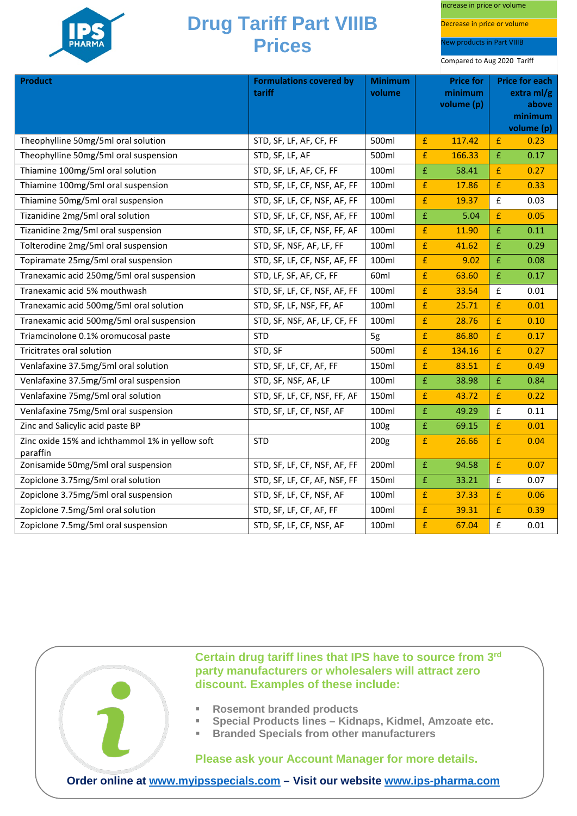

Increase in price or volume

Decrease in price or volume

lew products in Part VIIIB

Compared to Aug 2020 Tariff

| <b>Product</b>                                              | <b>Formulations covered by</b><br>tariff | <b>Minimum</b><br>volume |                    | <b>Price for</b><br>minimum<br>volume (p) |                    | <b>Price for each</b><br>extra $ml/g$<br>above<br>minimum<br>volume (p) |
|-------------------------------------------------------------|------------------------------------------|--------------------------|--------------------|-------------------------------------------|--------------------|-------------------------------------------------------------------------|
| Theophylline 50mg/5ml oral solution                         | STD, SF, LF, AF, CF, FF                  | 500ml                    | £                  | 117.42                                    | $\mathbf{f}$       | 0.23                                                                    |
| Theophylline 50mg/5ml oral suspension                       | STD, SF, LF, AF                          | 500ml                    | £                  | 166.33                                    | £                  | 0.17                                                                    |
| Thiamine 100mg/5ml oral solution                            | STD, SF, LF, AF, CF, FF                  | 100ml                    | £                  | 58.41                                     | £                  | 0.27                                                                    |
| Thiamine 100mg/5ml oral suspension                          | STD, SF, LF, CF, NSF, AF, FF             | 100ml                    | £                  | 17.86                                     | £                  | 0.33                                                                    |
| Thiamine 50mg/5ml oral suspension                           | STD, SF, LF, CF, NSF, AF, FF             | 100ml                    | $\pmb{\mathsf{f}}$ | 19.37                                     | £                  | 0.03                                                                    |
| Tizanidine 2mg/5ml oral solution                            | STD, SF, LF, CF, NSF, AF, FF             | 100ml                    | £                  | 5.04                                      | £                  | 0.05                                                                    |
| Tizanidine 2mg/5ml oral suspension                          | STD, SF, LF, CF, NSF, FF, AF             | 100ml                    | £                  | 11.90                                     | £                  | 0.11                                                                    |
| Tolterodine 2mg/5ml oral suspension                         | STD, SF, NSF, AF, LF, FF                 | 100ml                    | $\pmb{\mathsf{f}}$ | 41.62                                     | £                  | 0.29                                                                    |
| Topiramate 25mg/5ml oral suspension                         | STD, SF, LF, CF, NSF, AF, FF             | 100ml                    | £                  | 9.02                                      | £                  | 0.08                                                                    |
| Tranexamic acid 250mg/5ml oral suspension                   | STD, LF, SF, AF, CF, FF                  | 60 <sub>ml</sub>         | £                  | 63.60                                     | £                  | 0.17                                                                    |
| Tranexamic acid 5% mouthwash                                | STD, SF, LF, CF, NSF, AF, FF             | 100ml                    | £                  | 33.54                                     | £                  | 0.01                                                                    |
| Tranexamic acid 500mg/5ml oral solution                     | STD, SF, LF, NSF, FF, AF                 | 100ml                    | £                  | 25.71                                     | £                  | 0.01                                                                    |
| Tranexamic acid 500mg/5ml oral suspension                   | STD, SF, NSF, AF, LF, CF, FF             | 100ml                    | £                  | 28.76                                     | £                  | 0.10                                                                    |
| Triamcinolone 0.1% oromucosal paste                         | <b>STD</b>                               | 5g                       | £                  | 86.80                                     | £                  | 0.17                                                                    |
| Tricitrates oral solution                                   | STD, SF                                  | 500ml                    | £                  | 134.16                                    | £                  | 0.27                                                                    |
| Venlafaxine 37.5mg/5ml oral solution                        | STD, SF, LF, CF, AF, FF                  | 150ml                    | £                  | 83.51                                     | £                  | 0.49                                                                    |
| Venlafaxine 37.5mg/5ml oral suspension                      | STD, SF, NSF, AF, LF                     | 100ml                    | £                  | 38.98                                     | £                  | 0.84                                                                    |
| Venlafaxine 75mg/5ml oral solution                          | STD, SF, LF, CF, NSF, FF, AF             | 150ml                    | £                  | 43.72                                     | £                  | 0.22                                                                    |
| Venlafaxine 75mg/5ml oral suspension                        | STD, SF, LF, CF, NSF, AF                 | 100ml                    | £                  | 49.29                                     | $\pmb{\mathsf{f}}$ | 0.11                                                                    |
| Zinc and Salicylic acid paste BP                            |                                          | 100g                     | £                  | 69.15                                     | £                  | 0.01                                                                    |
| Zinc oxide 15% and ichthammol 1% in yellow soft<br>paraffin | <b>STD</b>                               | 200 <sub>g</sub>         | £                  | 26.66                                     | £                  | 0.04                                                                    |
| Zonisamide 50mg/5ml oral suspension                         | STD, SF, LF, CF, NSF, AF, FF             | 200ml                    | £                  | 94.58                                     | £                  | 0.07                                                                    |
| Zopiclone 3.75mg/5ml oral solution                          | STD, SF, LF, CF, AF, NSF, FF             | 150ml                    | £                  | 33.21                                     | $\mathbf f$        | 0.07                                                                    |
| Zopiclone 3.75mg/5ml oral suspension                        | STD, SF, LF, CF, NSF, AF                 | 100ml                    | £                  | 37.33                                     | £                  | 0.06                                                                    |
| Zopiclone 7.5mg/5ml oral solution                           | STD, SF, LF, CF, AF, FF                  | 100ml                    | £                  | 39.31                                     | £                  | 0.39                                                                    |
| Zopiclone 7.5mg/5ml oral suspension                         | STD, SF, LF, CF, NSF, AF                 | 100ml                    | £                  | 67.04                                     | £                  | 0.01                                                                    |



**Certain drug tariff lines that IPS have to source from 3rd party manufacturers or wholesalers will attract zero discount. Examples of these include:**

- **Rosemont branded products**
- **Special Products lines – Kidnaps, Kidmel, Amzoate etc.**
- **Branded Specials from other manufacturers**

**Please ask your Account Manager for more details.**

**Order online at [www.myipsspecials.com](http://www.myipsspecials.com/) – Visit our website [www.ips-pharma.com](http://www.ips-pharma.com/)**